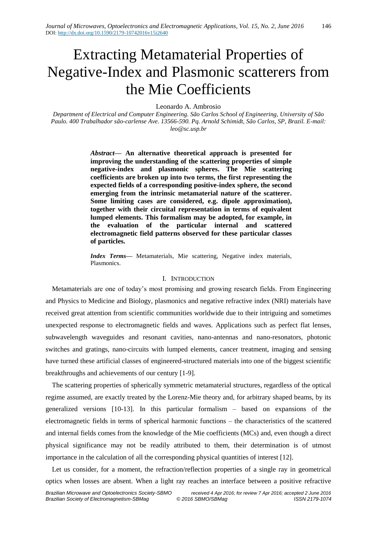# Extracting Metamaterial Properties of Negative-Index and Plasmonic scatterers from the Mie Coefficients

Leonardo A. Ambrosio

*Department of Electrical and Computer Engineering. São Carlos School of Engineering, University of São Paulo. 400 Trabalhador são-carlense Ave. 13566-590. Pq. Arnold Schimidt, São Carlos, SP, Brazil. E-mail: leo@sc.usp.br*

> *Abstract***— An alternative theoretical approach is presented for improving the understanding of the scattering properties of simple negative-index and plasmonic spheres. The Mie scattering coefficients are broken up into two terms, the first representing the expected fields of a corresponding positive-index sphere, the second emerging from the intrinsic metamaterial nature of the scatterer. Some limiting cases are considered, e.g. dipole approximation), together with their circuital representation in terms of equivalent lumped elements. This formalism may be adopted, for example, in the evaluation of the particular internal and scattered electromagnetic field patterns observed for these particular classes of particles.**

> *Index Terms***—** Metamaterials, Mie scattering, Negative index materials, Plasmonics.

#### I. INTRODUCTION

Metamaterials are one of today's most promising and growing research fields. From Engineering and Physics to Medicine and Biology, plasmonics and negative refractive index (NRI) materials have received great attention from scientific communities worldwide due to their intriguing and sometimes unexpected response to electromagnetic fields and waves. Applications such as perfect flat lenses, subwavelength waveguides and resonant cavities, nano-antennas and nano-resonators, photonic switches and gratings, nano-circuits with lumped elements, cancer treatment, imaging and sensing have turned these artificial classes of engineered-structured materials into one of the biggest scientific breakthroughs and achievements of our century [1-9].

The scattering properties of spherically symmetric metamaterial structures, regardless of the optical regime assumed, are exactly treated by the Lorenz-Mie theory and, for arbitrary shaped beams, by its generalized versions [10-13]. In this particular formalism – based on expansions of the electromagnetic fields in terms of spherical harmonic functions – the characteristics of the scattered and internal fields comes from the knowledge of the Mie coefficients (MCs) and, even though a direct physical significance may not be readily attributed to them, their determination is of utmost importance in the calculation of all the corresponding physical quantities of interest [12].

Let us consider, for a moment, the refraction/reflection properties of a single ray in geometrical optics when losses are absent. When a light ray reaches an interface between a positive refractive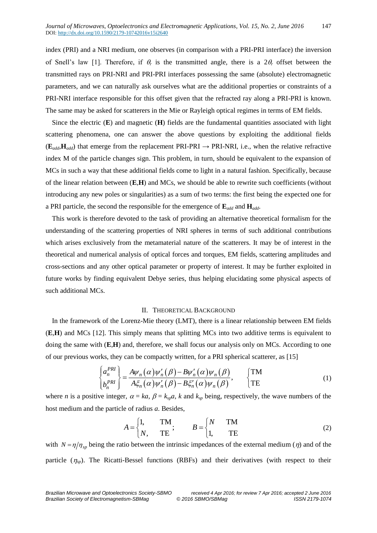index (PRI) and a NRI medium, one observes (in comparison with a PRI-PRI interface) the inversion of Snell's law [1]. Therefore, if  $\theta_r$  is the transmitted angle, there is a  $2\theta_r$  offset between the transmitted rays on PRI-NRI and PRI-PRI interfaces possessing the same (absolute) electromagnetic parameters, and we can naturally ask ourselves what are the additional properties or constraints of a PRI-NRI interface responsible for this offset given that the refracted ray along a PRI-PRI is known. The same may be asked for scatterers in the Mie or Rayleigh optical regimes in terms of EM fields.

Since the electric  $(E)$  and magnetic  $(H)$  fields are the fundamental quantities associated with light scattering phenomena, one can answer the above questions by exploiting the additional fields  $(\mathbf{E}_{add}, \mathbf{H}_{add})$  that emerge from the replacement PRI-PRI  $\rightarrow$  PRI-NRI, i.e., when the relative refractive index M of the particle changes sign. This problem, in turn, should be equivalent to the expansion of MCs in such a way that these additional fields come to light in a natural fashion. Specifically, because of the linear relation between (**E**,**H**) and MCs, we should be able to rewrite such coefficients (without introducing any new poles or singularities) as a sum of two terms: the first being the expected one for a PRI particle, the second the responsible for the emergence of **E***add* and **H***add*.

This work is therefore devoted to the task of providing an alternative theoretical formalism for the understanding of the scattering properties of NRI spheres in terms of such additional contributions which arises exclusively from the metamaterial nature of the scatterers. It may be of interest in the theoretical and numerical analysis of optical forces and torques, EM fields, scattering amplitudes and cross-sections and any other optical parameter or property of interest. It may be further exploited in future works by finding equivalent Debye series, thus helping elucidating some physical aspects of such additional MCs.

## II. THEORETICAL BACKGROUND

In the framework of the Lorenz-Mie theory (LMT), there is a linear relationship between EM fields (**E**,**H**) and MCs [12]. This simply means that splitting MCs into two additive terms is equivalent to doing the same with (**E**,**H**) and, therefore, we shall focus our analysis only on MCs. According to one

of our previous works, they can be compactly written, for a PRI spherical scatterer, as [15]  
\n
$$
\begin{cases}\na_n^{PRI} \\
b_n^{PRI}\n\end{cases} = \frac{A\psi_n(\alpha)\psi_n'(\beta) - B\psi_n'(\alpha)\psi_n(\beta)}{A\xi_n(\alpha)\psi_n'(\beta) - B\xi_n'(\alpha)\psi_n(\beta)}, \qquad \text{[TH]} \tag{1}
$$

where *n* is a positive integer,  $\alpha = ka$ ,  $\beta = k_{sp}a$ , *k* and  $k_{sp}$  being, respectively, the wave numbers of the host medium and the particle of radius *a*. Besides,

e of radius *a*. Besides,  
\n
$$
A = \begin{cases} 1, & TM \\ N, & TE \end{cases}; \qquad B = \begin{cases} N & TM \\ 1, & TE \end{cases}
$$
\n(2)

with  $N = \eta/\eta_{sp}$  being the ratio between the intrinsic impedances of the external medium ( $\eta$ ) and of the particle  $(\eta_{sp})$ . The Ricatti-Bessel functions (RBFs) and their derivatives (with respect to their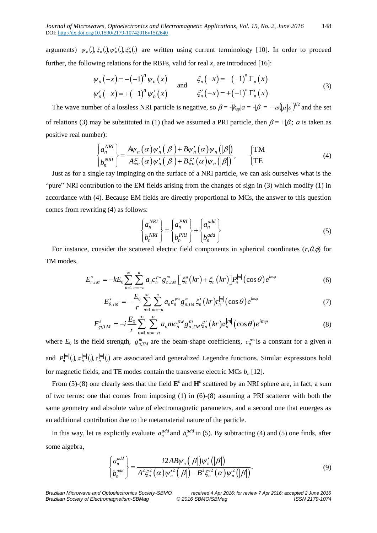arguments)  $\psi_n(.)$ ,  $\xi_n(.)$ ,  $\psi'_n(.)$ ,  $\xi'_n(.)$  are written using current terminology [10]. In order to proceed further, the following relations for the RBFs, valid for real *x*, are introduced [16]:

$$
\psi_n(-x) = -(-1)^n \psi_n(x) \qquad \text{and} \qquad \xi_n(-x) = -(-1)^n \Gamma_n(x) \n\psi'_n(-x) = +(-1)^n \psi'_n(x) \qquad \xi'_n(-x) = +(-1)^n \Gamma'_n(x)
$$
\n(3)

The wave number of a lossless NRI particle is negative, so  $\beta = -|k_{sp}|a = -|\beta| = -\omega(|\mu||\varepsilon)|^{1/2}$  and the set of relations (3) may be substituted in (1) (had we assumed a PRI particle, then  $\beta = +|\beta|$ ;  $\alpha$  is taken as positive real number):

per):  
\n
$$
\begin{cases}\na_n^{NRI} \\
b_n^{NRI}\n\end{cases} = \frac{A\psi_n(\alpha)\psi_n'(|\beta|) + B\psi_n'(\alpha)\psi_n(|\beta|)}{A\xi_n(\alpha)\psi_n'(|\beta|) + B\xi_n'(\alpha)\psi_n(|\beta|)}, \quad \text{[TH]} \quad (4)
$$

Just as for a single ray impinging on the surface of a NRI particle, we can ask ourselves what is the "pure" NRI contribution to the EM fields arising from the changes of sign in (3) which modify (1) in accordance with (4). Because EM fields are directly proportional to MCs, the answer to this question comes from rewriting (4) as follows:

$$
\begin{Bmatrix} a_n^{NRI} \\ b_n^{NRI} \end{Bmatrix} = \begin{Bmatrix} a_n^{PRI} \\ b_n^{PRI} \end{Bmatrix} + \begin{Bmatrix} a_n^{add} \\ b_n^{add} \end{Bmatrix}
$$
 (5)

TM modes,

For instance, consider the scattered electric field components in spherical coordinates 
$$
(r, \theta, \phi)
$$
 for  
\nM modes,  
\n
$$
E_{r, TM}^{s} = -kE_{0} \sum_{n=1}^{\infty} \sum_{m=-n}^{n} a_{n} c_{n}^{pw} g_{n, TM}^{m} \left[ \xi_{n}^{m}(kr) + \xi_{n}(kr) \right] P_{n}^{|m|}(\cos \theta) e^{im\phi}
$$
\n(6)

$$
= -kE_0 \sum_{n=1}^{\infty} \sum_{m=-n}^{n} a_n c_n^{pw} g_{n,TM}^m \left[ \xi_n''(kr) + \xi_n(kr) \right] P_n^{|m|}(\cos \theta) e^{im\phi}
$$
\n
$$
E_{\theta,TM}^s = -\frac{E_0}{r} \sum_{n=1}^{\infty} \sum_{m=-n}^{n} a_n c_n^{pw} g_{n,TM}^m \xi_n'(kr) \tau_n^{|m|}(\cos \theta) e^{im\phi}
$$
\n(7)

$$
E_{\theta, TM}^{s} = -\frac{E_{0}}{r} \sum_{n=1}^{\infty} \sum_{m=-n}^{n} a_{n} c_{n}^{p w} g_{n, TM}^{m} \xi_{n}^{\prime} (kr) \tau_{n}^{|m|} (\cos \theta) e^{im\phi}
$$
\n
$$
E_{\phi, TM}^{s} = -i \frac{E_{0}}{r} \sum_{n=1}^{\infty} \sum_{m=-n}^{n} a_{n} m c_{n}^{p w} g_{n, TM}^{m} \xi_{n}^{\prime} (kr) \tau_{n}^{|m|} (\cos \theta) e^{im\phi}
$$
\n(8)

where  $E_0$  is the field strength,  $g_{n,TM}^m$  are the beam-shape coefficients,  $c_n^{pw}$  is a constant for a given *n* and  $P_n^{|m|}(\cdot), \pi_n^{|m|}(\cdot)$  are associated and generalized Legendre functions. Similar expressions hold for magnetic fields, and TE modes contain the transverse electric MCs  $b_n$  [12].

From  $(5)-(8)$  one clearly sees that the field  $\mathbf{E}^s$  and  $\mathbf{H}^s$  scattered by an NRI sphere are, in fact, a sum of two terms: one that comes from imposing  $(1)$  in  $(6)-(8)$  assuming a PRI scatterer with both the same geometry and absolute value of electromagnetic parameters, and a second one that emerges as an additional contribution due to the metamaterial nature of the particle.

In this way, let us explicitly evaluate  $a_n^{add}$  and  $b_n^{add}$  in (5). By subtracting (4) and (5) one finds, after some algebra,

$$
\begin{cases}\n a_n^{add} \\
 b_n^{add}\n\end{cases} = \frac{i2AB\psi_n(|\beta|)\psi'_n(|\beta|)}{A^2\xi_n^2(\alpha)\psi_n'^2(|\beta|) - B^2\xi_n'^2(\alpha)\psi_n^2(|\beta|)}.
$$
\n(9)

*Brazilian Microwave and Optoelectronics Society-SBMO received 4 Apr 2016; for review 7 Apr 2016; accepted 2 June 2016 Brazilian Society of Electromagnetism-SBMag © 2016 SBMO/SBMag ISSN 2179-1074*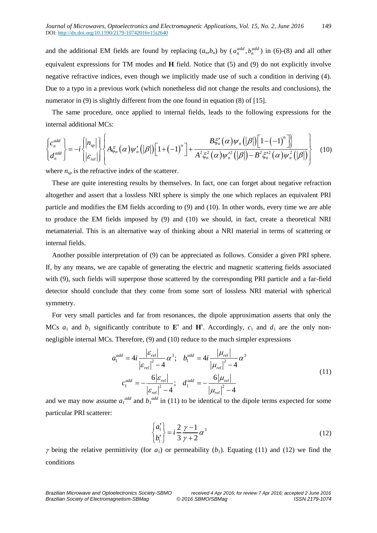and the additional EM fields are found by replacing  $(a_n, b_n)$  by  $(a_n^{add}, b_n^{add})$  in (6)-(8) and all other equivalent expressions for TM modes and **H** field. Notice that (5) and (9) do not explicitly involve negative refractive indices, even though we implicitly made use of such a condition in deriving (4). Due to a typo in a previous work (which nonetheless did not change the results and conclusions), the numerator in (9) is slightly different from the one found in equation (8) of [15].

internal additional MCs:

The same procedure, once applied to internal fields, leads to the following expressions for the  
internal additional MCs:  
\n
$$
\begin{cases}\nc_n^{add} \\
d_n^{add}\n\end{cases} = -i \begin{cases}\n\left|n_{sp}\right| \\
\left| \sum_{\mathcal{E}_{rel}}\right|\n\end{cases}\n\begin{cases}\nA\xi_n(\alpha)\psi'_n(|\beta|)[1+(-1)^n] + \frac{B\xi'_n(\alpha)\psi_n(|\beta|)[1-(-1)^n]}{A^2\xi_n^2(\alpha)\psi'_n(|\beta|)-B^2\xi'_n(\alpha)\psi'_n(|\beta|)}\n\end{cases}
$$
\n(10)  
\nwhere  $n_{sp}$  is the refractive index of the scatterer.

where  $n_{sp}$  is the refractive index of the scatterer.

These are quite interesting results by themselves. In fact, one can forget about negative refraction altogether and assert that a lossless NRI sphere is simply the one which replaces an equivalent PRI particle and modifies the EM fields according to (9) and (10). In other words, every time we are able to produce the EM fields imposed by (9) and (10) we should, in fact, create a theoretical NRI metamaterial. This is an alternative way of thinking about a NRI material in terms of scattering or internal fields.

Another possible interpretation of (9) can be appreciated as follows. Consider a given PRI sphere. If, by any means, we are capable of generating the electric and magnetic scattering fields associated with (9), such fields will superpose those scattered by the corresponding PRI particle and a far-field detector should conclude that they come from some sort of lossless NRI material with spherical symmetry.

For very small particles and far from resonances, the dipole approximation asserts that only the MCs  $a_1$  and  $b_1$  significantly contribute to  $\mathbf{E}^s$  and  $\mathbf{H}^s$ . Accordingly,  $c_1$  and  $d_1$  are the only non-

negligible internal MCs. Therefore, (9) and (10) reduce to the much simpler expressions  
\n
$$
a_1^{add} = 4i \frac{|\varepsilon_{rel}|}{|\varepsilon_{rel}|^2 - 4} \alpha^3; \quad b_1^{add} = 4i \frac{|\mu_{rel}|}{|\mu_{rel}|^2 - 4} \alpha^3
$$
\n
$$
c_1^{add} = -\frac{6|\varepsilon_{rel}|}{|\varepsilon_{rel}|^2 - 4}; \quad d_1^{add} = -\frac{6|\mu_{rel}|}{|\mu_{rel}|^2 - 4}
$$
\n(11)

and we may now assume  $a_1^{add}$  and  $b_1^{add}$  in (11) to be identical to the dipole terms expected for some particular PRI scatterer:

$$
\begin{Bmatrix} a'_1 \\ b'_1 \end{Bmatrix} = i \frac{2 \gamma - 1}{3 \gamma + 2} \alpha^3
$$
 (12)

 $\gamma$  being the relative permittivity (for  $a_1$ ) or permeability ( $b_1$ ). Equating (11) and (12) we find the conditions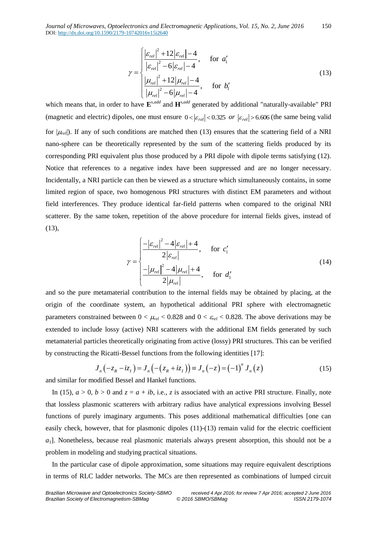*Journal of Microwaves, Optoelectronics and Electromagnetic Applications, Vol. 15, No. 2, June 2016* DOI: <http://dx.doi.org/10.1590/2179-10742016v15i2640> 150

$$
\gamma = \begin{cases} \frac{\left|\mathcal{E}_{rel}\right|^2 + 12|\mathcal{E}_{rel}| - 4}{\left|\mathcal{E}_{rel}\right|^2 - 6|\mathcal{E}_{rel}| - 4}, & \text{for } a'_1\\ \frac{\left|\mu_{rel}\right|^2 + 12|\mu_{rel}| - 4}{\left|\mu_{rel}\right|^2 - 6|\mu_{rel}| - 4}, & \text{for } b'_1 \end{cases}
$$
(13)

which means that, in order to have  $\mathbf{E}^{s, add}$  and  $\mathbf{H}^{s, add}$  generated by additional "naturally-available" PRI (magnetic and electric) dipoles, one must ensure  $0 < |\varepsilon_{rel}| < 0.325$  or  $|\varepsilon_{rel}| > 6.606$  (the same being valid for  $|\mu_{rel}|$ ). If any of such conditions are matched then (13) ensures that the scattering field of a NRI nano-sphere can be theoretically represented by the sum of the scattering fields produced by its corresponding PRI equivalent plus those produced by a PRI dipole with dipole terms satisfying (12). Notice that references to a negative index have been suppressed and are no longer necessary. Incidentally, a NRI particle can then be viewed as a structure which simultaneously contains, in some limited region of space, two homogenous PRI structures with distinct EM parameters and without field interferences. They produce identical far-field patterns when compared to the original NRI scatterer. By the same token, repetition of the above procedure for internal fields gives, instead of (13),

$$
\gamma = \begin{cases}\n\frac{-|\varepsilon_{rel}|^2 - 4|\varepsilon_{rel}| + 4}{2|\varepsilon_{rel}|}, & \text{for } c_1' \\
\frac{-|\mu_{rel}|^2 - 4|\mu_{rel}| + 4}{2|\mu_{rel}|}, & \text{for } d_1'\n\end{cases}
$$
\n(14)

and so the pure metamaterial contribution to the internal fields may be obtained by placing, at the origin of the coordinate system, an hypothetical additional PRI sphere with electromagnetic parameters constrained between  $0 < \mu_{rel} < 0.828$  and  $0 < \varepsilon_{rel} < 0.828$ . The above derivations may be extended to include lossy (active) NRI scatterers with the additional EM fields generated by such metamaterial particles theoretically originating from active (lossy) PRI structures. This can be verified

by constructing the Ricatti-Bessel functions from the following identities [17]:  
\n
$$
J_n(-z_n - iz_1) = J_n(-(z_n + iz_1)) \equiv J_n(-z) = (-1)^n J_n(z)
$$
\n(15)

and similar for modified Bessel and Hankel functions.

In (15),  $a > 0$ ,  $b > 0$  and  $z = a + ib$ , i.e., *z* is associated with an active PRI structure. Finally, note that lossless plasmonic scatterers with arbitrary radius have analytical expressions involving Bessel functions of purely imaginary arguments. This poses additional mathematical difficulties [one can easily check, however, that for plasmonic dipoles (11)-(13) remain valid for the electric coefficient *a*<sub>1</sub>]. Nonetheless, because real plasmonic materials always present absorption, this should not be a problem in modeling and studying practical situations.

In the particular case of dipole approximation, some situations may require equivalent descriptions in terms of RLC ladder networks. The MCs are then represented as combinations of lumped circuit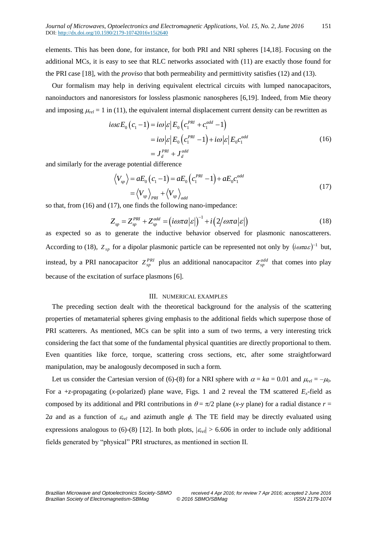elements. This has been done, for instance, for both PRI and NRI spheres [14,18]. Focusing on the additional MCs, it is easy to see that RLC networks associated with (11) are exactly those found for the PRI case [18], with the *proviso* that both permeability and permittivity satisfies (12) and (13).

Our formalism may help in deriving equivalent electrical circuits with lumped nanocapacitors, nanoinductors and nanoresistors for lossless plasmonic nanospheres [6,19]. Indeed, from Mie theory

and imposing 
$$
\mu_{rel} = 1
$$
 in (11), the equivalent internal displacement current density can be rewritten as  
\n
$$
i\omega \varepsilon E_0 (c_1 - 1) = i\omega |\varepsilon | E_0 (c_1^{PRI} + c_1^{add} - 1)
$$
\n
$$
= i\omega |\varepsilon | E_0 (c_1^{PRI} - 1) + i\omega |\varepsilon | E_0 c_1^{add}
$$
\n
$$
= J_d^{PRI} + J_d^{add}
$$
\n(16)

and similarly for the average potential difference

$$
\langle V_{sp} \rangle = aE_0 \left( c_1 - 1 \right) = aE_0 \left( c_1^{PRI} - 1 \right) + aE_0 c_1^{add}
$$
\n
$$
= \langle V_{sp} \rangle_{PRI} + \langle V_{sp} \rangle_{add}
$$
\n(17)

so that, from (16) and (17), one finds the following nano-impedance:  
\n
$$
Z_{sp} = Z_{sp}^{PRI} + Z_{sp}^{add} = \left(i\omega\pi a|\varepsilon|\right)^{-1} + i\left(2/\omega\pi a|\varepsilon|\right)
$$
\n(18)

as expected so as to generate the inductive behavior observed for plasmonic nanoscatterers. According to (18),  $Z_{sp}$  for a dipolar plasmonic particle can be represented not only by  $(i\omega\pi a\varepsilon)^{-1}$  but, instead, by a PRI nanocapacitor  $Z_{sp}^{PRI}$  plus an additional nanocapacitor  $Z_{sp}^{add}$  that comes into play because of the excitation of surface plasmons [6].

## III. NUMERICAL EXAMPLES

The preceding section dealt with the theoretical background for the analysis of the scattering properties of metamaterial spheres giving emphasis to the additional fields which superpose those of PRI scatterers. As mentioned, MCs can be split into a sum of two terms, a very interesting trick considering the fact that some of the fundamental physical quantities are directly proportional to them. Even quantities like force, torque, scattering cross sections, etc, after some straightforward manipulation, may be analogously decomposed in such a form.

Let us consider the Cartesian version of (6)-(8) for a NRI sphere with  $\alpha = ka = 0.01$  and  $\mu_{rel} = -\mu_0$ . For a +*z*-propagating (*x*-polarized) plane wave, Figs. 1 and 2 reveal the TM scattered  $E<sub>x</sub>$ -field as composed by its additional and PRI contributions in  $\theta = \pi/2$  plane (*x-y* plane) for a radial distance  $r =$ 2*a* and as a function of  $\varepsilon_{rel}$  and azimuth angle  $\phi$ . The TE field may be directly evaluated using expressions analogous to (6)-(8) [12]. In both plots,  $|\varepsilon_{rel}| > 6.606$  in order to include only additional fields generated by "physical" PRI structures, as mentioned in section II.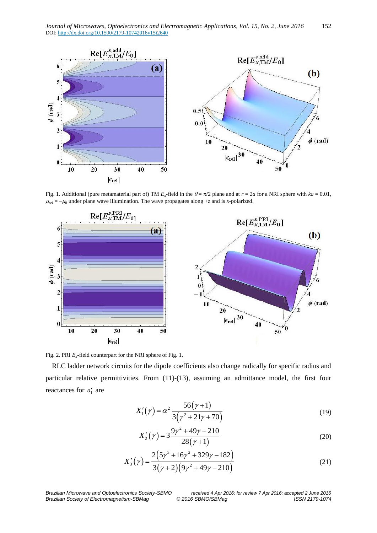

Fig. 1. Additional (pure metamaterial part of) TM  $E_x$ -field in the  $\theta = \pi/2$  plane and at  $r = 2a$  for a NRI sphere with  $ka = 0.01$ ,  $\mu_{rel} = -\mu_0$  under plane wave illumination. The wave propagates along +*z* and is *x*-polarized.



Fig. 2. PRI *E<sup>x</sup>* -field counterpart for the NRI sphere of Fig. 1.

RLC ladder network circuits for the dipole coefficients also change radically for specific radius and particular relative permittivities. From (11)-(13), assuming an admittance model, the first four reactances for  $a_1$  are

$$
X_1'(\gamma) = \alpha^2 \frac{56(\gamma + 1)}{3(\gamma^2 + 21\gamma + 70)}
$$
(19)

$$
X'_{2}(\gamma) = 3\frac{9\gamma^{2} + 49\gamma - 210}{28(\gamma + 1)}
$$
\n(20)

$$
X'_{3}(\gamma) = \frac{2(5\gamma^{3} + 16\gamma^{2} + 329\gamma - 182)}{3(\gamma + 2)(9\gamma^{2} + 49\gamma - 210)}
$$
(21)

*Brazilian Microwave and Optoelectronics Society-SBMO received 4 Apr 2016; for review 7 Apr 2016; accepted 2 June 2016 Brazilian Society of Electromagnetism-SBMag © 2016 SBMO/SBMag ISSN 2179-1074*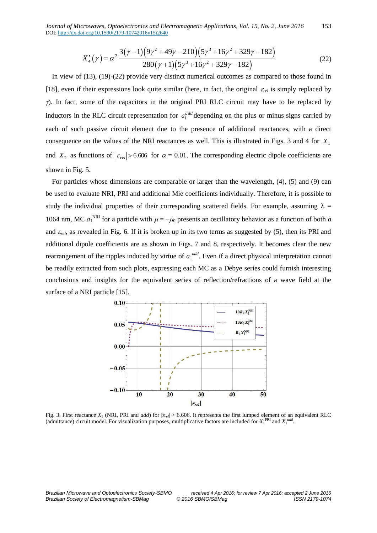*Journal of Microwaves, Optoelectronics and Electromagnetic Applications, Vol. 15, No. 2, June 2016* DOI: <http://dx.doi.org/10.1590/2179-10742016v15i2640> 153

$$
X'_{4}(\gamma) = \alpha^{2} \frac{3(\gamma - 1)(9\gamma^{2} + 49\gamma - 210)(5\gamma^{3} + 16\gamma^{2} + 329\gamma - 182)}{280(\gamma + 1)(5\gamma^{3} + 16\gamma^{2} + 329\gamma - 182)}
$$
(22)

In view of (13), (19)-(22) provide very distinct numerical outcomes as compared to those found in [18], even if their expressions look quite similar (here, in fact, the original  $\varepsilon_{rel}$  is simply replaced by  $\gamma$ ). In fact, some of the capacitors in the original PRI RLC circuit may have to be replaced by inductors in the RLC circuit representation for  $a_1^{add}$  depending on the plus or minus signs carried by each of such passive circuit element due to the presence of additional reactances, with a direct consequence on the values of the NRI reactances as well. This is illustrated in Figs. 3 and 4 for *X*1 and  $X_2$  as functions of  $|\varepsilon_{rel}| > 6.606$  for  $\alpha = 0.01$ . The corresponding electric dipole coefficients are shown in Fig. 5.

For particles whose dimensions are comparable or larger than the wavelength, (4), (5) and (9) can be used to evaluate NRI, PRI and additional Mie coefficients individually. Therefore, it is possible to study the individual properties of their corresponding scattered fields. For example, assuming  $\lambda =$ 1064 nm, MC  $a_1^{NRI}$  for a particle with  $\mu = -\mu_0$  presents an oscillatory behavior as a function of both *a* and  $\varepsilon_{rel}$ , as revealed in Fig. 6. If it is broken up in its two terms as suggested by (5), then its PRI and additional dipole coefficients are as shown in Figs. 7 and 8, respectively. It becomes clear the new rearrangement of the ripples induced by virtue of  $a_1^{add}$ . Even if a direct physical interpretation cannot be readily extracted from such plots, expressing each MC as a Debye series could furnish interesting conclusions and insights for the equivalent series of reflection/refractions of a wave field at the surface of a NRI particle [15].



Fig. 3. First reactance  $X_1$  (NRI, PRI and *add*) for  $|\mathcal{E}_{rel}| > 6.606$ . It represents the first lumped element of an equivalent RLC (admittance) circuit model. For visualization purposes, multiplicative factors are included for  $X_1^{PRI}$  and  $X_1^{add}$ .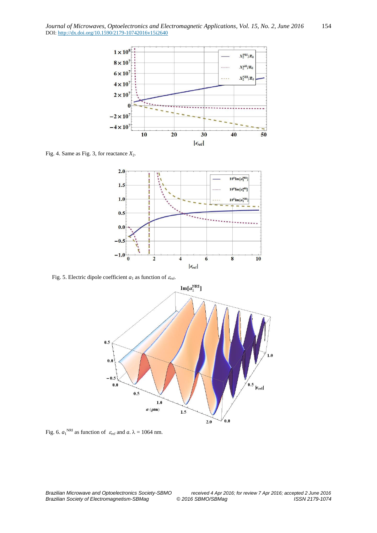

Fig. 4. Same as Fig. 3, for reactance  $X_2$ .



Fig. 5. Electric dipole coefficient  $a_1$  as function of  $\varepsilon_{rel}$ .



Fig. 6.  $a_1^{\text{NRI}}$  as function of  $\varepsilon_{rel}$  and  $a. \lambda = 1064$  nm.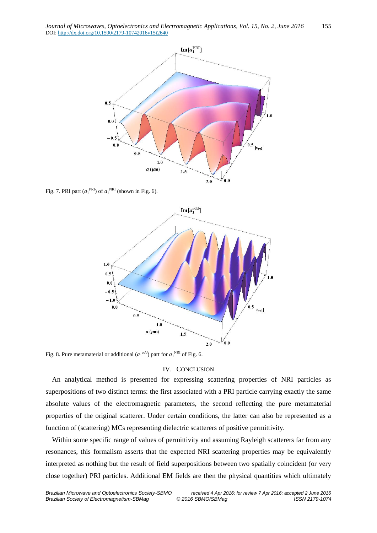*Journal of Microwaves, Optoelectronics and Electromagnetic Applications, Vol. 15, No. 2, June 2016* DOI: <http://dx.doi.org/10.1590/2179-10742016v15i2640>



Fig. 7. PRI part  $(a_1^{\text{PRI}})$  of  $a_1^{\text{NRI}}$  (shown in Fig. 6).



Fig. 8. Pure metamaterial or additional  $(a_1^{add})$  part for  $a_1^{NRI}$  of Fig. 6.

## IV. CONCLUSION

An analytical method is presented for expressing scattering properties of NRI particles as superpositions of two distinct terms: the first associated with a PRI particle carrying exactly the same absolute values of the electromagnetic parameters, the second reflecting the pure metamaterial properties of the original scatterer. Under certain conditions, the latter can also be represented as a function of (scattering) MCs representing dielectric scatterers of positive permittivity.

Within some specific range of values of permittivity and assuming Rayleigh scatterers far from any resonances, this formalism asserts that the expected NRI scattering properties may be equivalently interpreted as nothing but the result of field superpositions between two spatially coincident (or very close together) PRI particles. Additional EM fields are then the physical quantities which ultimately